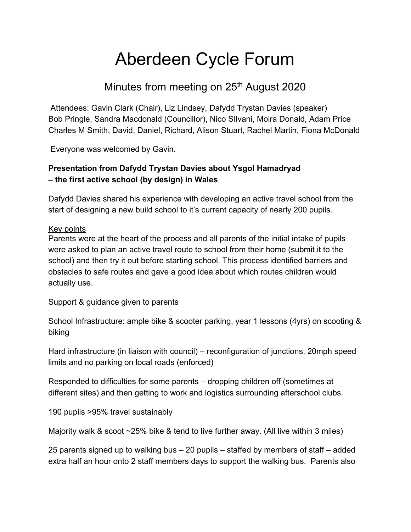# Aberdeen Cycle Forum

# Minutes from meeting on 25<sup>th</sup> August 2020

 Attendees: Gavin Clark (Chair), Liz Lindsey, Dafydd Trystan Davies (speaker) Bob Pringle, Sandra Macdonald (Councillor), Nico SIlvani, Moira Donald, Adam Price Charles M Smith, David, Daniel, Richard, Alison Stuart, Rachel Martin, Fiona McDonald

Everyone was welcomed by Gavin.

### **Presentation from Dafydd Trystan Davies about Ysgol Hamadryad – the first active school (by design) in Wales**

Dafydd Davies shared his experience with developing an active travel school from the start of designing a new build school to it's current capacity of nearly 200 pupils.

#### Key points

Parents were at the heart of the process and all parents of the initial intake of pupils were asked to plan an active travel route to school from their home (submit it to the school) and then try it out before starting school. This process identified barriers and obstacles to safe routes and gave a good idea about which routes children would actually use.

Support & guidance given to parents

School Infrastructure: ample bike & scooter parking, year 1 lessons (4yrs) on scooting & biking

Hard infrastructure (in liaison with council) – reconfiguration of junctions, 20mph speed limits and no parking on local roads (enforced)

Responded to difficulties for some parents – dropping children off (sometimes at different sites) and then getting to work and logistics surrounding afterschool clubs.

190 pupils >95% travel sustainably

Majority walk & scoot ~25% bike & tend to live further away. (All live within 3 miles)

25 parents signed up to walking bus – 20 pupils – staffed by members of staff – added extra half an hour onto 2 staff members days to support the walking bus. Parents also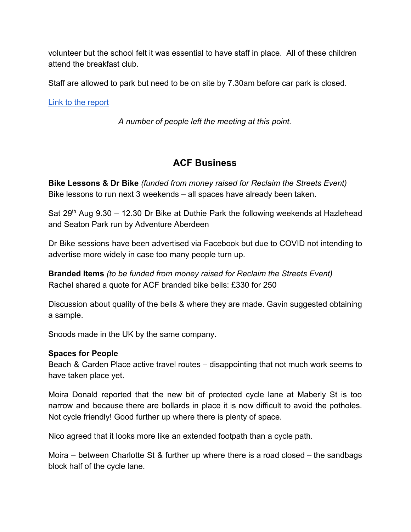volunteer but the school felt it was essential to have staff in place. All of these children attend the breakfast club.

Staff are allowed to park but need to be on site by 7.30am before car park is closed.

[Link to the report](https://www.huwirranca-davies.org.uk/wp-content/uploads/2019/11/Ysgol-Hamadryads-Active-Travel-Journey-Eng.pdf)

*A number of people left the meeting at this point.*

## **ACF Business**

**Bike Lessons & Dr Bike** *(funded from money raised for Reclaim the Streets Event)* Bike lessons to run next 3 weekends – all spaces have already been taken.

Sat  $29<sup>th</sup>$  Aug 9.30 – 12.30 Dr Bike at Duthie Park the following weekends at Hazlehead and Seaton Park run by Adventure Aberdeen

Dr Bike sessions have been advertised via Facebook but due to COVID not intending to advertise more widely in case too many people turn up.

**Branded Items** *(to be funded from money raised for Reclaim the Streets Event)* Rachel shared a quote for ACF branded bike bells: £330 for 250

Discussion about quality of the bells & where they are made. Gavin suggested obtaining a sample.

Snoods made in the UK by the same company.

#### **Spaces for People**

Beach & Carden Place active travel routes – disappointing that not much work seems to have taken place yet.

Moira Donald reported that the new bit of protected cycle lane at Maberly St is too narrow and because there are bollards in place it is now difficult to avoid the potholes. Not cycle friendly! Good further up where there is plenty of space.

Nico agreed that it looks more like an extended footpath than a cycle path.

Moira – between Charlotte St & further up where there is a road closed – the sandbags block half of the cycle lane.